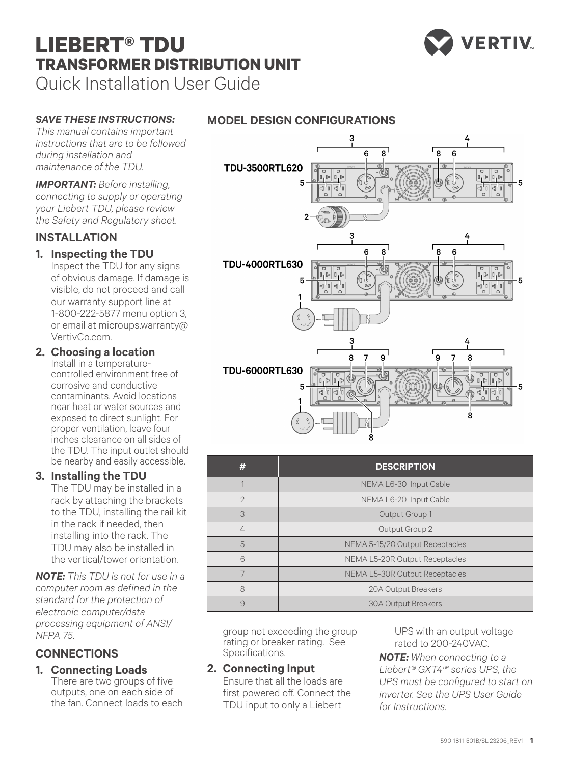# **LIEBERT® TDU TRANSFORMER DISTRIBUTION UNIT** Quick Installation User Guide



### *SAVE THESE INSTRUCTIONS:*

*This manual contains important instructions that are to be followed during installation and maintenance of the TDU.*

*IMPORTANT: Before installing, connecting to supply or operating your Liebert TDU, please review the Safety and Regulatory sheet.* 

### **INSTALLATION**

### **1. Inspecting the TDU**

Inspect the TDU for any signs of obvious damage. If damage is visible, do not proceed and call our warranty support line at 1-800-222-5877 menu option 3, or email at microups.warranty@ VertivCo.com.

### **2. Choosing a location**

Install in a temperaturecontrolled environment free of corrosive and conductive contaminants. Avoid locations near heat or water sources and exposed to direct sunlight. For proper ventilation, leave four inches clearance on all sides of the TDU. The input outlet should be nearby and easily accessible.

### **3. Installing the TDU**

The TDU may be installed in a rack by attaching the brackets to the TDU, installing the rail kit in the rack if needed, then installing into the rack. The TDU may also be installed in the vertical/tower orientation.

*NOTE: This TDU is not for use in a computer room as defined in the standard for the protection of electronic computer/data processing equipment of ANSI/ NFPA 75.*

## **CONNECTIONS**

### **1. Connecting Loads**

There are two groups of five outputs, one on each side of the fan. Connect loads to each





| #              | <b>DESCRIPTION</b>              |
|----------------|---------------------------------|
|                | NEMA L6-30 Input Cable          |
| $\overline{2}$ | NEMA L6-20 Input Cable          |
| 3              | Output Group 1                  |
| 4              | Output Group 2                  |
| 5              | NEMA 5-15/20 Output Receptacles |
| 6              | NEMA L5-20R Output Receptacles  |
| 7              | NEMA L5-30R Output Receptacles  |
| 8              | 20A Output Breakers             |
| 9              | <b>30A Output Breakers</b>      |

group not exceeding the group rating or breaker rating. See Specifications.

#### **2. Connecting Input**

Ensure that all the loads are first powered off. Connect the TDU input to only a Liebert

UPS with an output voltage rated to 200-240VAC.

*NOTE: When connecting to a Liebert® GXT4™ series UPS, the UPS must be configured to start on inverter. See the UPS User Guide for Instructions.*